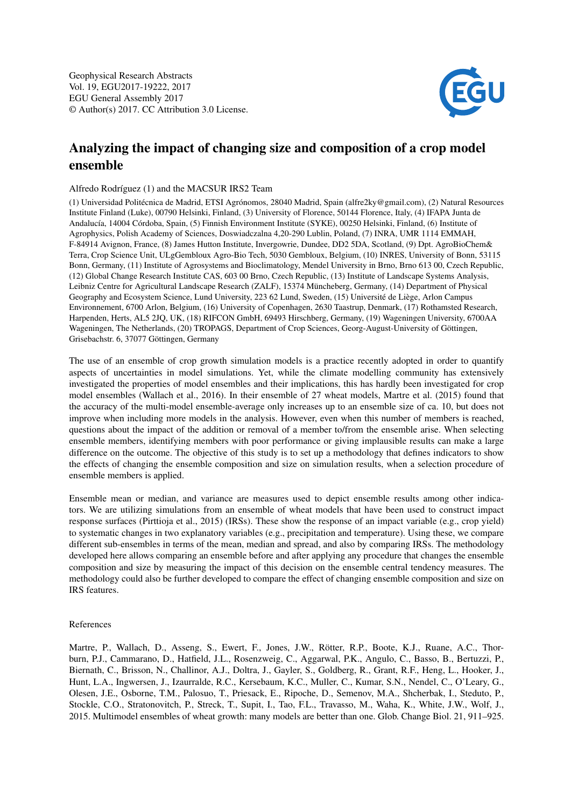Geophysical Research Abstracts Vol. 19, EGU2017-19222, 2017 EGU General Assembly 2017 © Author(s) 2017. CC Attribution 3.0 License.



## Analyzing the impact of changing size and composition of a crop model ensemble

Alfredo Rodríguez (1) and the MACSUR IRS2 Team

(1) Universidad Politécnica de Madrid, ETSI Agrónomos, 28040 Madrid, Spain (alfre2ky@gmail.com), (2) Natural Resources Institute Finland (Luke), 00790 Helsinki, Finland, (3) University of Florence, 50144 Florence, Italy, (4) IFAPA Junta de Andalucía, 14004 Córdoba, Spain, (5) Finnish Environment Institute (SYKE), 00250 Helsinki, Finland, (6) Institute of Agrophysics, Polish Academy of Sciences, Doswiadczalna 4,20-290 Lublin, Poland, (7) INRA, UMR 1114 EMMAH, F-84914 Avignon, France, (8) James Hutton Institute, Invergowrie, Dundee, DD2 5DA, Scotland, (9) Dpt. AgroBioChem& Terra, Crop Science Unit, ULgGembloux Agro-Bio Tech, 5030 Gembloux, Belgium, (10) INRES, University of Bonn, 53115 Bonn, Germany, (11) Institute of Agrosystems and Bioclimatology, Mendel University in Brno, Brno 613 00, Czech Republic, (12) Global Change Research Institute CAS, 603 00 Brno, Czech Republic, (13) Institute of Landscape Systems Analysis, Leibniz Centre for Agricultural Landscape Research (ZALF), 15374 Müncheberg, Germany, (14) Department of Physical Geography and Ecosystem Science, Lund University, 223 62 Lund, Sweden, (15) Université de Liège, Arlon Campus Environnement, 6700 Arlon, Belgium, (16) University of Copenhagen, 2630 Taastrup, Denmark, (17) Rothamsted Research, Harpenden, Herts, AL5 2JQ, UK, (18) RIFCON GmbH, 69493 Hirschberg, Germany, (19) Wageningen University, 6700AA Wageningen, The Netherlands, (20) TROPAGS, Department of Crop Sciences, Georg-August-University of Göttingen, Grisebachstr. 6, 37077 Göttingen, Germany

The use of an ensemble of crop growth simulation models is a practice recently adopted in order to quantify aspects of uncertainties in model simulations. Yet, while the climate modelling community has extensively investigated the properties of model ensembles and their implications, this has hardly been investigated for crop model ensembles (Wallach et al., 2016). In their ensemble of 27 wheat models, Martre et al. (2015) found that the accuracy of the multi-model ensemble-average only increases up to an ensemble size of ca. 10, but does not improve when including more models in the analysis. However, even when this number of members is reached, questions about the impact of the addition or removal of a member to/from the ensemble arise. When selecting ensemble members, identifying members with poor performance or giving implausible results can make a large difference on the outcome. The objective of this study is to set up a methodology that defines indicators to show the effects of changing the ensemble composition and size on simulation results, when a selection procedure of ensemble members is applied.

Ensemble mean or median, and variance are measures used to depict ensemble results among other indicators. We are utilizing simulations from an ensemble of wheat models that have been used to construct impact response surfaces (Pirttioja et al., 2015) (IRSs). These show the response of an impact variable (e.g., crop yield) to systematic changes in two explanatory variables (e.g., precipitation and temperature). Using these, we compare different sub-ensembles in terms of the mean, median and spread, and also by comparing IRSs. The methodology developed here allows comparing an ensemble before and after applying any procedure that changes the ensemble composition and size by measuring the impact of this decision on the ensemble central tendency measures. The methodology could also be further developed to compare the effect of changing ensemble composition and size on IRS features.

## References

Martre, P., Wallach, D., Asseng, S., Ewert, F., Jones, J.W., Rötter, R.P., Boote, K.J., Ruane, A.C., Thorburn, P.J., Cammarano, D., Hatfield, J.L., Rosenzweig, C., Aggarwal, P.K., Angulo, C., Basso, B., Bertuzzi, P., Biernath, C., Brisson, N., Challinor, A.J., Doltra, J., Gayler, S., Goldberg, R., Grant, R.F., Heng, L., Hooker, J., Hunt, L.A., Ingwersen, J., Izaurralde, R.C., Kersebaum, K.C., Muller, C., Kumar, S.N., Nendel, C., O'Leary, G., Olesen, J.E., Osborne, T.M., Palosuo, T., Priesack, E., Ripoche, D., Semenov, M.A., Shcherbak, I., Steduto, P., Stockle, C.O., Stratonovitch, P., Streck, T., Supit, I., Tao, F.L., Travasso, M., Waha, K., White, J.W., Wolf, J., 2015. Multimodel ensembles of wheat growth: many models are better than one. Glob. Change Biol. 21, 911–925.